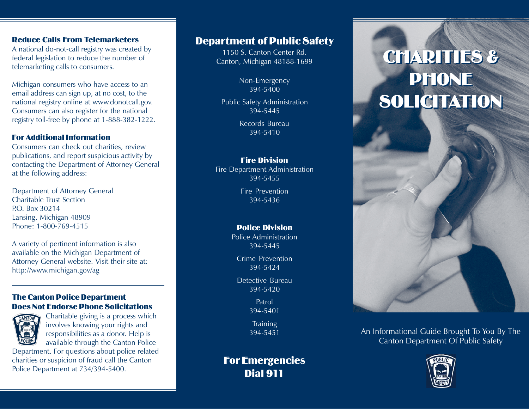#### Reduce Calls From Telemarketers

A national do-not-call registry was created by federal legislation to reduce the number of telemarketing calls to consumers.

Michigan consumers who have access to an email address can sign up, at no cost, to the national registry online at www.donotcall.gov. Consumers can also register for the national registry toll-free by phone at 1-888-382-1222.

#### For Additional Information

Consumers can check out charities, review publications, and report suspicious activity by contacting the Department of Attorney General at the following address:

Department of Attorney General Charitable Trust Section P.O. Box 30214 Lansing, Michigan 48909 Phone: 1-800-769-4515

A variety of pertinent information is also available on the Michigan Department of Attorney General website. Visit their site at: http://www.michigan.gov/ag

#### The Canton Police Department Does Not Endorse Phone Solicitations



Charitable giving is a process which involves knowing your rights and responsibilities as a donor. Help is available through the Canton Police

Department. For questions about police related charities or suspicion of fraud call the Canton Police Department at 734/394-5400.

### Department of Public Safety

1150 S. Canton Center Rd. Canton, Michigan 48188-1699

> Non-Emergency 394-5400

Public Safety Administration 394-5445

> Records Bureau 394-5410

#### Fire Division

Fire Department Administration 394-5455

> Fire Prevention 394-5436

#### Police Division

Police Administration 394-5445

Crime Prevention 394-5424

Detective Bureau 394-5420

> Patrol 394-5401

> **Training** 394-5451

For Emergencies Dial 911

# CHARITIES & CHARITIES & PHONE PHONE SOLICITATION SOLICITATION



An Informational Guide Brought To You By The Canton Department Of Public Safety